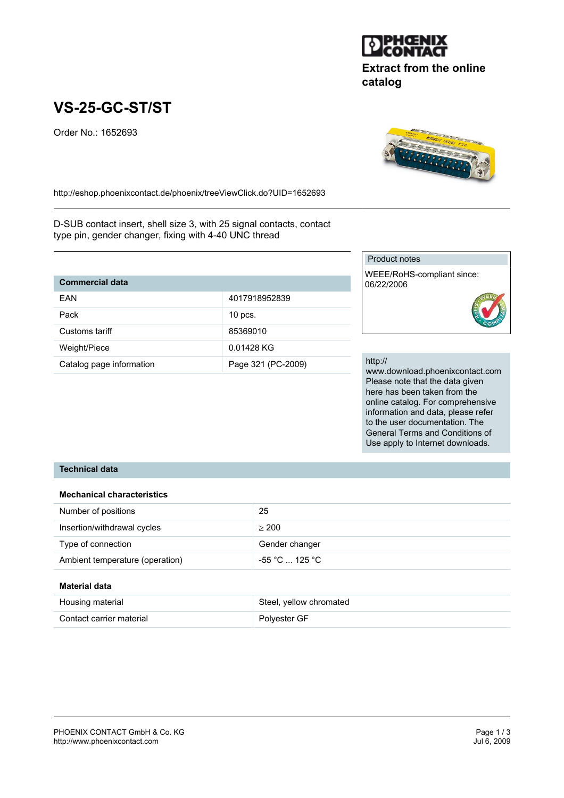

# **Extract from the online catalog**

# **VS-25-GC-ST/ST**

Order No.: 1652693



http://eshop.phoenixcontact.de/phoenix/treeViewClick.do?UID=1652693

D-SUB contact insert, shell size 3, with 25 signal contacts, contact type pin, gender changer, fixing with 4-40 UNC thread

| <b>Commercial data</b>   |                    |  |
|--------------------------|--------------------|--|
| <b>FAN</b>               | 4017918952839      |  |
| Pack                     | $10$ pcs.          |  |
| Customs tariff           | 85369010           |  |
| Weight/Piece             | 0.01428 KG         |  |
| Catalog page information | Page 321 (PC-2009) |  |

#### Product notes

WEEE/RoHS-compliant since: 06/22/2006



#### http://

www.download.phoenixcontact.com Please note that the data given here has been taken from the online catalog. For comprehensive information and data, please refer to the user documentation. The General Terms and Conditions of Use apply to Internet downloads.

#### **Technical data**

#### **Mechanical characteristics**

| Number of positions             | 25             |
|---------------------------------|----------------|
| Insertion/withdrawal cycles     | > 200          |
| Type of connection              | Gender changer |
| Ambient temperature (operation) | -55 °C  125 °C |

#### **Material data**

| Housing material         | Steel, yellow chromated |
|--------------------------|-------------------------|
| Contact carrier material | Polyester GF            |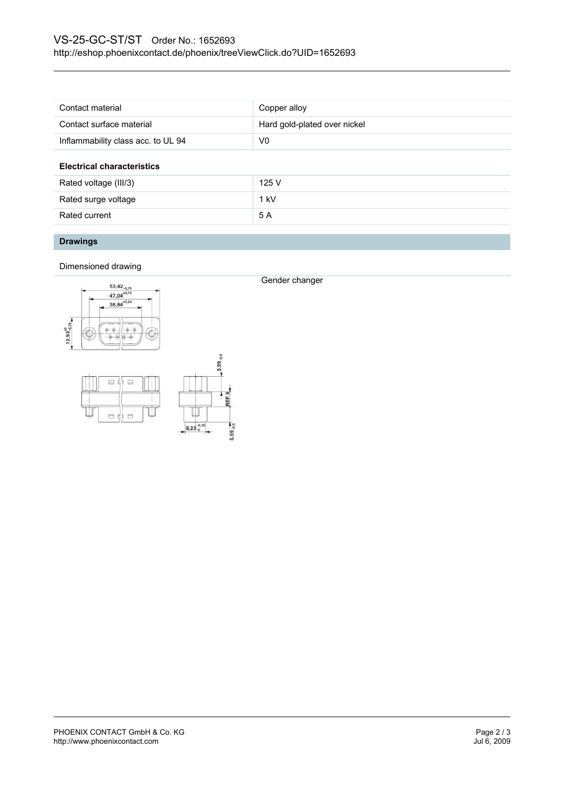| Contact material                   | Copper alloy                 |
|------------------------------------|------------------------------|
| Contact surface material           | Hard gold-plated over nickel |
| Inflammability class acc. to UL 94 | V0                           |
| <b>Electrical characteristics</b>  |                              |
| Rated voltage (III/3)              | 125V                         |
| Rated surge voltage                | $1$ kV                       |
| Rated current                      | 5 A                          |
|                                    |                              |

## **Drawings**

Dimensioned drawing



日  $\Box$ 



Gender changer